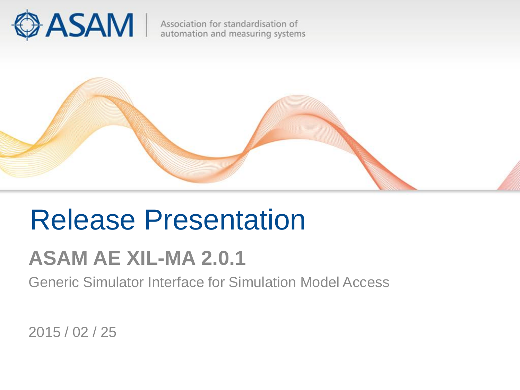

Association for standardisation of automation and measuring systems



# Release Presentation

## **ASAM AE XIL-MA 2.0.1**

Generic Simulator Interface for Simulation Model Access

2015 / 02 / 25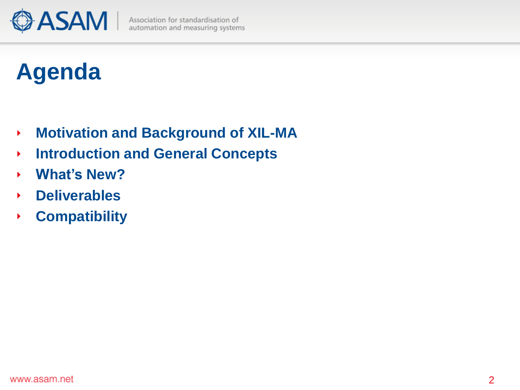

# **Agenda**

- **Motivation and Background of XIL-MA** ×
- **Introduction and General Concepts** k
- **What's New?** ¥
- **Deliverables** r
- **Compatibility** ×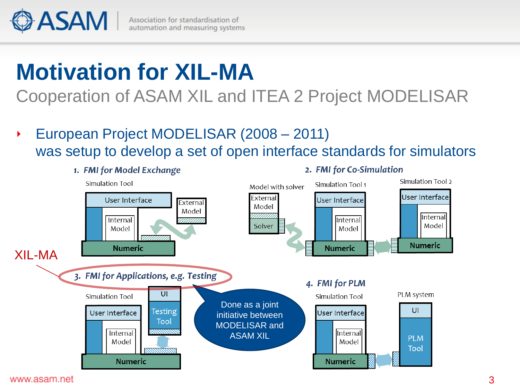

# **Motivation for XIL-MA**

Cooperation of ASAM XIL and ITEA 2 Project MODELISAR

European Project MODELISAR (2008 – 2011) r was setup to develop a set of open interface standards for simulators

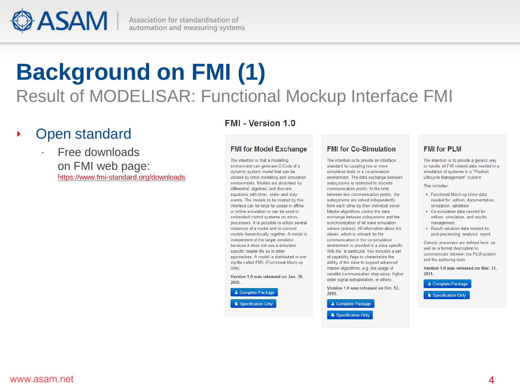**ASAM** 

Association for standardisation of automation and measuring systems

## **Background on FMI (1)** Result of MODELISAR: Functional Mockup Interface FMI

## Open standard

## ∙ Free downloads on FMI web page: <https://www.fmi-standard.org/downloads>

## **FMI - Version 1.0**

#### **FMI for Model Exchange**

The intention is that a modelling environment can generate C-Code of a dynamic system model that can be utilized by other modelling and simulation environments. Models are described by differential, algebraic and discrete equations with time-, state- and stepevents. The models to be treated by this interface can be large for usage in offline or online simulation or can be used in embedded control systems on microprocessors. It is possible to utilize several instances of a model and to connect models hierarchically together. A model is independent of the target simulator because it does not use a simulator specific header file as in other approaches. A model is distributed in one zip-file called FMU (Functional Mock-up Unit).

Version 1.0 was released on Jan. 26. 2010.

L Complete Package

Specification Only

#### **FMI for Co-Simulation**

The intention is to provide an interface standard for coupling two or more simulation tools in a co-simulation environment. The data exchange between subsystems is restricted to discrete communication points. In the time between two communication points, the subsystems are solved independently from each other by their individual solver. Master algorithms control the data exchange between subsystems and the synchronization of all slave simulation solvers (slaves). All information about the slaves, which is relevant for the communication in the co-simulation environment is provided in a slave specific XML-file. In particular, this includes a set of capability flags to characterize the ability of the slave to support advanced master algorithms, e.g. the usage of variable communication step sizes, higher order signal extrapolation, or others.

Version 1.0 was released on Oct. 12. 2010.

L Complete Package Specification Only

## **FMI for PLM**

The intention is to provide a generic way to handle all FMI related data needed in a simulation of systems in a "Product Lifecycle Management" system.

#### This includes:

- Functional Mock-up Units data needed for: edition, documentation, simulation, validation
- Co-simulation data needed for: edition, simulation, and results management.
- · Result valuation data needed for: post-processing, analysis, report

Generic processes are defined here, as well as a format description to communicate between the PLM system and the authoring tools.

Version 1.0 was released on Mar. 31, 2011.

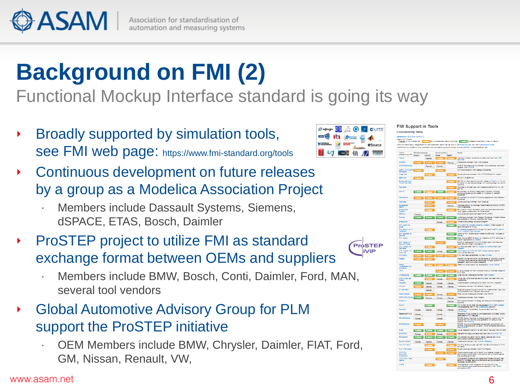

# **Background on FMI (2)**

## Functional Mockup Interface standard is going its way

- Broadly supported by simulation tools, see FMI web page: https://www.fmi-standard.org/tools
- Continuous development on future releases by a group as a Modelica Association Project
	- ∙ Members include Dassault Systems, Siemens, dSPACE, ETAS, Bosch, Daimler
- ProSTEP project to utilize FMI as standard Þ. exchange format between OEMs and suppliers
	- ∙ Members include BMW, Bosch, Conti, Daimler, Ford, MAN, several tool vendors
- Global Automotive Advisory Group for PLM support the ProSTEP initiative
	- ∙ OEM Members include BMW, Chrysler, Daimler, FIAT, Ford, GM, Nissan, Renault, VW,



ProSTEP iViP



**FMI Support in Tools** 

**Compatibility Table**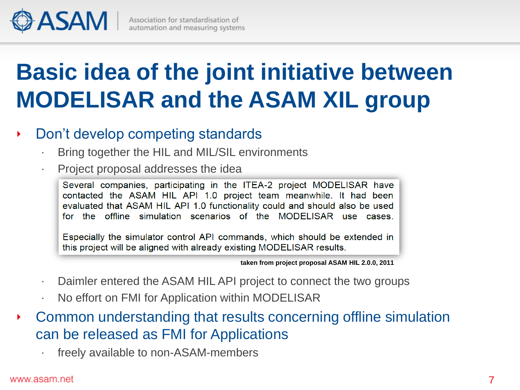

# **Basic idea of the joint initiative between MODELISAR and the ASAM XIL group**

#### Don't develop competing standards ¥

- ∙ Bring together the HIL and MIL/SIL environments
- ∙ Project proposal addresses the idea

Several companies, participating in the ITEA-2 project MODELISAR have contacted the ASAM HIL API 1.0 project team meanwhile. It had been evaluated that ASAM HIL API 1.0 functionality could and should also be used for the offline simulation scenarios of the MODELISAR use cases.

Especially the simulator control API commands, which should be extended in this project will be aligned with already existing MODELISAR results.

**taken from project proposal ASAM HIL 2.0.0, 2011**

- Daimler entered the ASAM HIL API project to connect the two groups
- ∙ No effort on FMI for Application within MODELISAR
- Common understanding that results concerning offline simulation × can be released as FMI for Applications
	- ∙ freely available to non-ASAM-members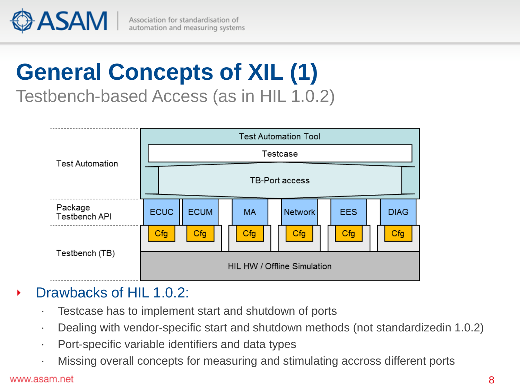

Association for standardisation of automation and measuring systems

## **General Concepts of XIL (1)** Testbench-based Access (as in HIL 1.0.2)

**Test Automation Tool** Testcase **Test Automation** TB-Port access Package **ECUC ECUM MA Network EES DIAG** Testbench API Cfg Cfg  $Cfg$  $Cfg$ Cfg Cfg Testbench (TB) HIL HW / Offline Simulation

## Drawbacks of HIL 1.0.2:

- ∙ Testcase has to implement start and shutdown of ports
- ∙ Dealing with vendor-specific start and shutdown methods (not standardizedin 1.0.2)
- ∙ Port-specific variable identifiers and data types
- ∙ Missing overall concepts for measuring and stimulating accross different ports

#### www.asam.net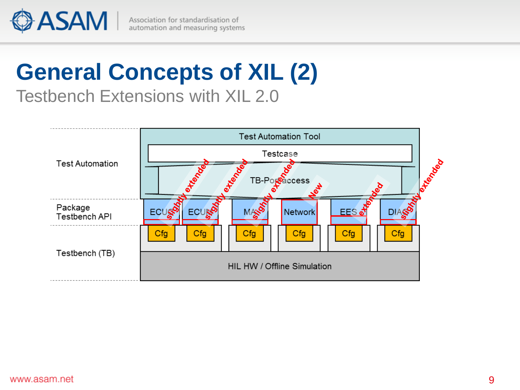

Association for standardisation of automation and measuring systems

## **General Concepts of XIL (2)** Testbench Extensions with XIL 2.0

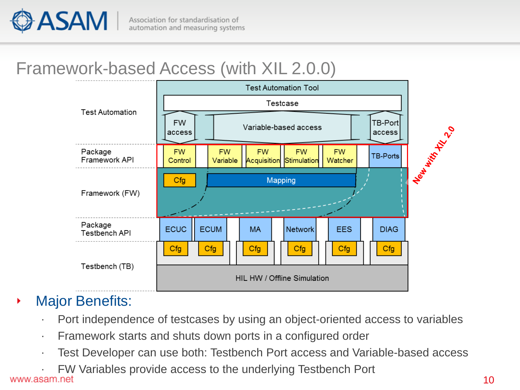

## Framework-based Access (with XIL 2.0.0)



#### Major Benefits: ٠

- ∙ Port independence of testcases by using an object-oriented access to variables
- ∙ Framework starts and shuts down ports in a configured order
- ∙ Test Developer can use both: Testbench Port access and Variable-based access
- ∙ FW Variables provide access to the underlying Testbench Port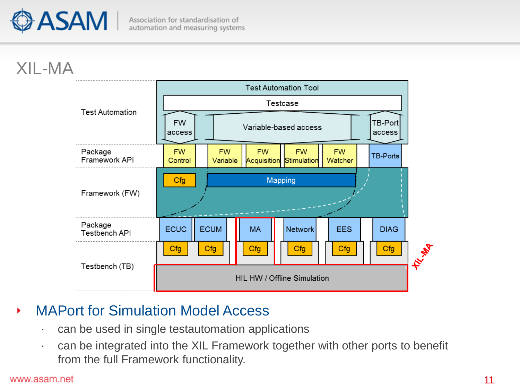

## XIL-MA



#### MAPort for Simulation Model Access ×

- ∙ can be used in single testautomation applications
- ∙ can be integrated into the XIL Framework together with other ports to benefit from the full Framework functionality.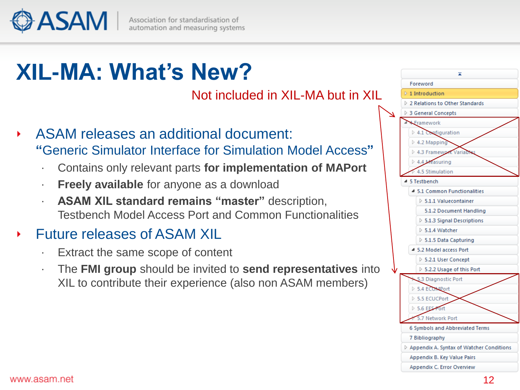ASAM

# **XIL-MA: What's New?**

Not included in XIL-MA but in XIL

- ASAM releases an additional document: **"**Generic Simulator Interface for Simulation Model Access**"**
	- ∙ Contains only relevant parts **for implementation of MAPort**
	- ∙ **Freely available** for anyone as a download
	- ∙ **ASAM XIL standard remains "master"** description, Testbench Model Access Port and Common Functionalities

## Future releases of ASAM XIL

- ∙ Extract the same scope of content
- ∙ The **FMI group** should be invited to **send representatives** into XIL to contribute their experience (also non ASAM members)

|              | ᄎ                                                         |
|--------------|-----------------------------------------------------------|
|              | Foreword                                                  |
|              | $\triangleright$ 1 Introduction                           |
|              | $\triangleright$ 2 Relations to Other Standards           |
| $\checkmark$ | ▷ 3 General Concepts                                      |
|              | Framework                                                 |
|              | $\triangleright$ 4.1 Configuration                        |
|              | $\triangleright$ 4.2 Mapping                              |
|              | > 4.3 Framework Variabl                                   |
|              | 4.4 Measuring                                             |
|              | $\triangleright$ 4.5 Stimulation                          |
|              | 5 Testbench<br>⊿                                          |
|              | 4 5.1 Common Functionalities                              |
|              | $> 5.1.1$ Valuecontainer                                  |
|              | 5.1.2 Document Handling                                   |
|              | $\triangleright$ 5.1.3 Signal Descriptions                |
|              | $> 5.1.4$ Watcher                                         |
|              | $> 5.1.5$ Data Capturing                                  |
|              | <sup>4</sup> 5.2 Model access Port                        |
|              | $\triangleright$ 5.2.1 User Concept                       |
|              | $\triangleright$ 5.2.2 Usage of this Port                 |
|              | 5.3 Diagnostic Port                                       |
|              | 5.4 ECOMPort                                              |
|              | ▷ 5.5 ECUCPort                                            |
|              | 5.6 EES Fort                                              |
|              | 5.7 Network Port                                          |
|              | 6 Symbols and Abbreviated Terms                           |
|              | 7 Bibliography                                            |
|              | $\triangleright$ Appendix A. Syntax of Watcher Conditions |
|              | Appendix B. Key Value Pairs                               |
|              | Appendix C. Error Overview                                |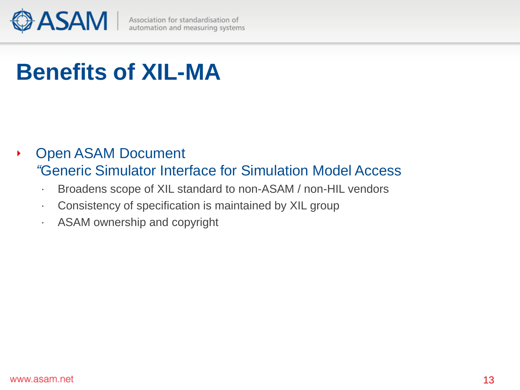

# **Benefits of XIL-MA**

- Open ASAM Document r *"*Generic Simulator Interface for Simulation Model Access
	- ∙ Broadens scope of XIL standard to non-ASAM / non-HIL vendors
	- ∙ Consistency of specification is maintained by XIL group
	- ∙ ASAM ownership and copyright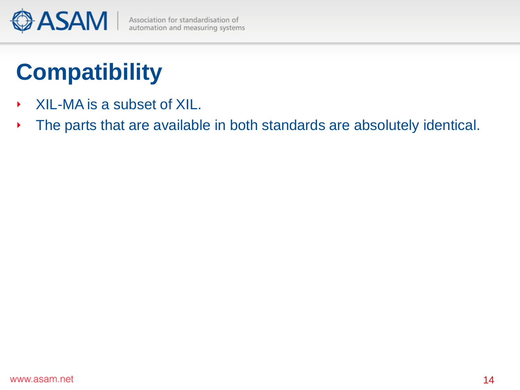

# **Compatibility**

- XIL-MA is a subset of XIL. ×
- The parts that are available in both standards are absolutely identical.Þ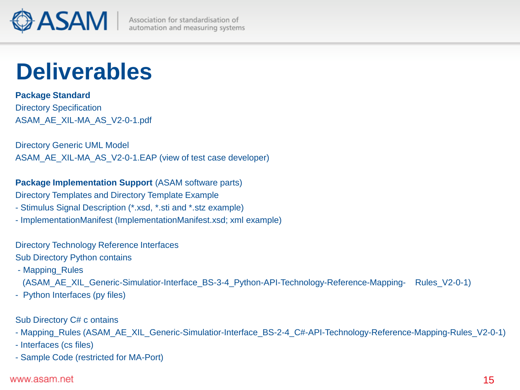

# **Deliverables**

## **Package Standard**

Directory Specification ASAM\_AE\_XIL-MA\_AS\_V2-0-1.pdf

Directory Generic UML Model ASAM\_AE\_XIL-MA\_AS\_V2-0-1.EAP (view of test case developer)

## **Package Implementation Support** (ASAM software parts)

Directory Templates and Directory Template Example

- Stimulus Signal Description (\*.xsd, \*.sti and \*.stz example)
- ImplementationManifest (ImplementationManifest.xsd; xml example)

#### Directory Technology Reference Interfaces

## Sub Directory Python contains

- Mapping\_Rules

(ASAM\_AE\_XIL\_Generic-Simulatior-Interface\_BS-3-4\_Python-API-Technology-Reference-Mapping- Rules\_V2-0-1)

- Python Interfaces (py files)

## Sub Directory C# c ontains

- Mapping\_Rules (ASAM\_AE\_XIL\_Generic-Simulatior-Interface\_BS-2-4\_C#-API-Technology-Reference-Mapping-Rules\_V2-0-1)
- Interfaces (cs files)
- Sample Code (restricted for MA-Port)

#### www.asam.net